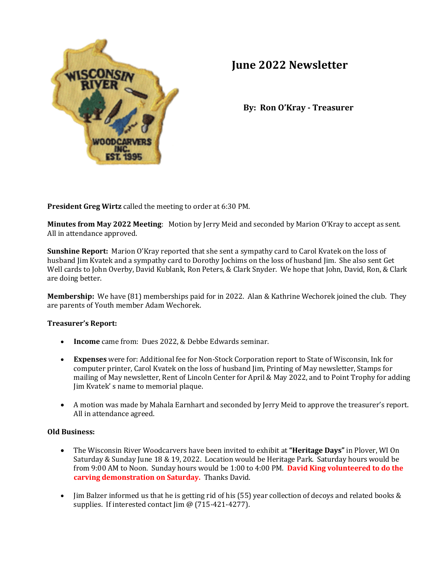

# **June 2022 Newsletter**

**By: Ron O'Kray - Treasurer**

**President Greg Wirtz** called the meeting to order at 6:30 PM.

**Minutes from May 2022 Meeting**: Motion by Jerry Meid and seconded by Marion O'Kray to accept as sent. All in attendance approved.

**Sunshine Report:** Marion O'Kray reported that she sent a sympathy card to Carol Kvatek on the loss of husband Jim Kvatek and a sympathy card to Dorothy Jochims on the loss of husband Jim. She also sent Get Well cards to John Overby, David Kublank, Ron Peters, & Clark Snyder. We hope that John, David, Ron, & Clark are doing better.

**Membership:** We have (81) memberships paid for in 2022. Alan & Kathrine Wechorek joined the club. They are parents of Youth member Adam Wechorek.

## **Treasurer's Report:**

- **Income** came from: Dues 2022, & Debbe Edwards seminar.
- **Expenses** were for: Additional fee for Non-Stock Corporation report to State of Wisconsin, Ink for computer printer, Carol Kvatek on the loss of husband Jim, Printing of May newsletter, Stamps for mailing of May newsletter, Rent of Lincoln Center for April & May 2022, and to Point Trophy for adding Jim Kvatek' s name to memorial plaque.
- A motion was made by Mahala Earnhart and seconded by Jerry Meid to approve the treasurer's report. All in attendance agreed.

## **Old Business:**

- The Wisconsin River Woodcarvers have been invited to exhibit at **"Heritage Days"** in Plover, WI On Saturday & Sunday June 18 & 19, 2022. Location would be Heritage Park. Saturday hours would be from 9:00 AM to Noon. Sunday hours would be 1:00 to 4:00 PM. **David King volunteered to do the carving demonstration on Saturday.** Thanks David.
- Jim Balzer informed us that he is getting rid of his (55) year collection of decoys and related books & supplies. If interested contact Jim @ (715-421-4277).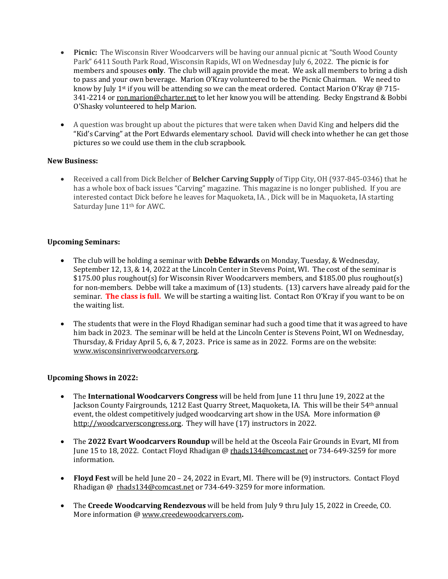- **Picnic:** The Wisconsin River Woodcarvers will be having our annual picnic at "South Wood County Park" 6411 South Park Road, Wisconsin Rapids, WI on Wednesday July 6, 2022. The picnic is for members and spouses **only**. The club will again provide the meat. We ask all members to bring a dish to pass and your own beverage. Marion O'Kray volunteered to be the Picnic Chairman. We need to know by July 1<sup>st</sup> if you will be attending so we can the meat ordered. Contact Marion O'Kray @ 715-341-2214 o[r ron.marion@charter.net](mailto:ron.marion@charter.net) to let her know you will be attending. Becky Engstrand & Bobbi O'Shasky volunteered to help Marion.
- A question was brought up about the pictures that were taken when David King and helpers did the "Kid's Carving" at the Port Edwards elementary school. David will check into whether he can get those pictures so we could use them in the club scrapbook.

## **New Business:**

• Received a call from Dick Belcher of **Belcher Carving Supply** of Tipp City, OH (937-845-0346) that he has a whole box of back issues "Carving" magazine. This magazine is no longer published. If you are interested contact Dick before he leaves for Maquoketa, IA. , Dick will be in Maquoketa, IA starting Saturday June 11<sup>th</sup> for AWC.

## **Upcoming Seminars:**

- The club will be holding a seminar with **Debbe Edwards** on Monday, Tuesday, & Wednesday, September 12, 13, & 14, 2022 at the Lincoln Center in Stevens Point, WI. The cost of the seminar is \$175.00 plus roughout(s) for Wisconsin River Woodcarvers members, and \$185.00 plus roughout(s) for non-members. Debbe will take a maximum of (13) students. (13) carvers have already paid for the seminar. **The class is full.** We will be starting a waiting list. Contact Ron O'Kray if you want to be on the waiting list.
- The students that were in the Floyd Rhadigan seminar had such a good time that it was agreed to have him back in 2023.The seminar will be held at the Lincoln Center is Stevens Point, WI on Wednesday, Thursday, & Friday April 5, 6, & 7, 2023. Price is same as in 2022. Forms are on the website: [www.wisconsinriverwoodcarvers.org.](http://www.wisconsinriverwoodcarvers.org/)

# **Upcoming Shows in 2022:**

- The **International Woodcarvers Congress** will be held from June 11 thru June 19, 2022 at the Jackson County Fairgrounds, 1212 East Quarry Street, Maquoketa, IA. This will be their 54th annual event, the oldest competitively judged woodcarving art show in the USA. More information @ [http://woodcarverscongress.org.](http://woodcarverscongress.org/) They will have (17) instructors in 2022.
- The **2022 Evart Woodcarvers Roundup** will be held at the Osceola Fair Grounds in Evart, MI from June 15 to 18, 2022. Contact Floyd Rhadigan @ [rhads134@comcast.net](mailto:rhads134@comcast.net) or 734-649-3259 for more information.
- **Floyd Fest** will be held June 20 24, 2022 in Evart, MI. There will be (9) instructors. Contact Floyd Rhadigan @ [rhads134@comcast.net](mailto:rhads134@comcast.net) or 734-649-3259 for more information.
- The **Creede Woodcarving Rendezvous** will be held from July 9 thru July 15, 2022 in Creede, CO. More information [@ www.creedewoodcarvers.com](http://www.creedewoodcarvers.com/)**.**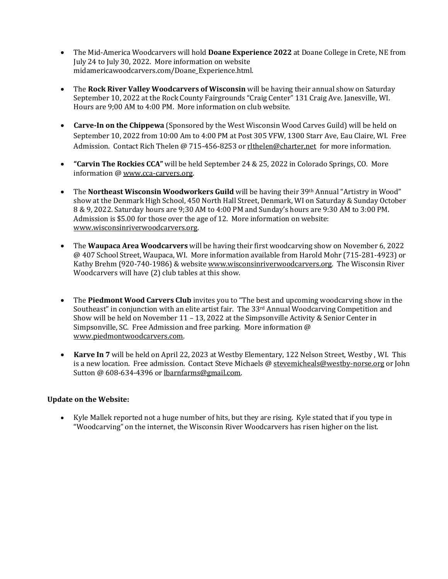- The Mid-America Woodcarvers will hold **Doane Experience 2022** at Doane College in Crete, NE from July 24 to July 30, 2022. More information on website midamericawoodcarvers.com/Doane\_Experience.html.
- The **Rock River Valley Woodcarvers of Wisconsin** will be having their annual show on Saturday September 10, 2022 at the Rock County Fairgrounds "Craig Center" 131 Craig Ave. Janesville, WI. Hours are 9;00 AM to 4:00 PM. More information on club website.
- **Carve-In on the Chippewa** (Sponsored by the West Wisconsin Wood Carves Guild) will be held on September 10, 2022 from 10:00 Am to 4:00 PM at Post 305 VFW, 1300 Starr Ave, Eau Claire, WI. Free Admission. Contact Rich Thelen @ 715-456-8253 or rlthelen@charter,net for more information.
- **"Carvin The Rockies CCA"** will be held September 24 & 25, 2022 in Colorado Springs, CO. More information [@ www.cca-carvers.org.](http://www.cca-carvers.org/)
- The **Northeast Wisconsin Woodworkers Guild** will be having their 39th Annual "Artistry in Wood" show at the Denmark High School, 450 North Hall Street, Denmark, WI on Saturday & Sunday October 8 & 9, 2022. Saturday hours are 9;30 AM to 4:00 PM and Sunday's hours are 9:30 AM to 3:00 PM. Admission is \$5.00 for those over the age of 12. More information on website: [www.wisconsinriverwoodcarvers.org.](http://www.wisconsinriverwoodcarvers.org/)
- The **Waupaca Area Woodcarvers** will be having their first woodcarving show on November 6, 2022 @ 407 School Street, Waupaca, WI. More information available from Harold Mohr (715-281-4923) or Kathy Brehm (920-740-1986) & websit[e www.wisconsinriverwoodcarvers.org.](http://www.wisconsinriverwoodcarvers.org/) The Wisconsin River Woodcarvers will have (2) club tables at this show.
- The **Piedmont Wood Carvers Club** invites you to "The best and upcoming woodcarving show in the Southeast" in conjunction with an elite artist fair. The 33rd Annual Woodcarving Competition and Show will be held on November 11 – 13, 2022 at the Simpsonville Activity & Senior Center in Simpsonville, SC. Free Admission and free parking. More information @ [www.piedmontwoodcarvers.com.](http://www.piedmontwoodcarvers.com/)
- **Karve In 7** will be held on April 22, 2023 at Westby Elementary, 122 Nelson Street, Westby , WI. This is a new location. Free admission. Contact Steve Michaels @ [stevemicheals@westby-norse.org](mailto:stevemicheals@westby-norse.org) or John Sutton @ 608-634-4396 or [lbarnfarms@gmail.com.](mailto:lbarnfarms@gmail.com)

## **Update on the Website:**

• Kyle Mallek reported not a huge number of hits, but they are rising. Kyle stated that if you type in "Woodcarving" on the internet, the Wisconsin River Woodcarvers has risen higher on the list.